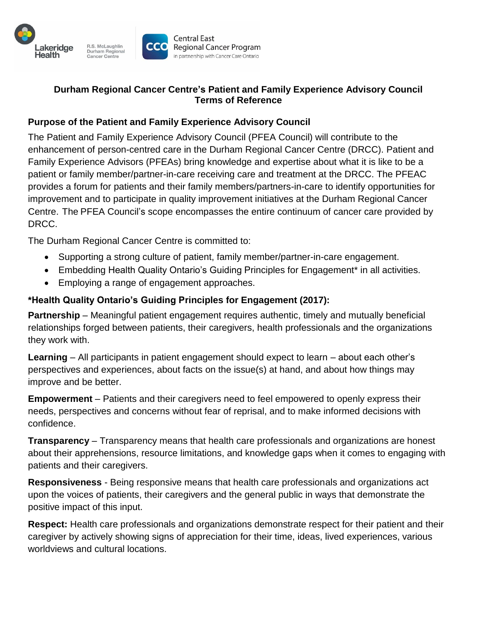

### **Durham Regional Cancer Centre's Patient and Family Experience Advisory Council Terms of Reference**

## **Purpose of the Patient and Family Experience Advisory Council**

The Patient and Family Experience Advisory Council (PFEA Council) will contribute to the enhancement of person-centred care in the Durham Regional Cancer Centre (DRCC). Patient and Family Experience Advisors (PFEAs) bring knowledge and expertise about what it is like to be a patient or family member/partner-in-care receiving care and treatment at the DRCC. The PFEAC provides a forum for patients and their family members/partners-in-care to identify opportunities for improvement and to participate in quality improvement initiatives at the Durham Regional Cancer Centre. The PFEA Council's scope encompasses the entire continuum of cancer care provided by DRCC.

The Durham Regional Cancer Centre is committed to:

- Supporting a strong culture of patient, family member/partner-in-care engagement.
- Embedding Health Quality Ontario's Guiding Principles for Engagement\* in all activities.
- Employing a range of engagement approaches.

## **\*Health Quality Ontario's Guiding Principles for Engagement (2017):**

**Partnership** – Meaningful patient engagement requires authentic, timely and mutually beneficial relationships forged between patients, their caregivers, health professionals and the organizations they work with.

**Learning** – All participants in patient engagement should expect to learn – about each other's perspectives and experiences, about facts on the issue(s) at hand, and about how things may improve and be better.

**Empowerment** – Patients and their caregivers need to feel empowered to openly express their needs, perspectives and concerns without fear of reprisal, and to make informed decisions with confidence.

**Transparency** – Transparency means that health care professionals and organizations are honest about their apprehensions, resource limitations, and knowledge gaps when it comes to engaging with patients and their caregivers.

**Responsiveness** - Being responsive means that health care professionals and organizations act upon the voices of patients, their caregivers and the general public in ways that demonstrate the positive impact of this input.

**Respect:** Health care professionals and organizations demonstrate respect for their patient and their caregiver by actively showing signs of appreciation for their time, ideas, lived experiences, various worldviews and cultural locations.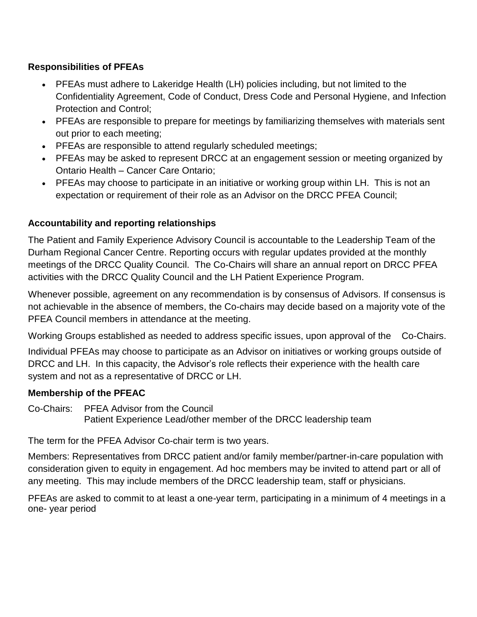## **Responsibilities of PFEAs**

- PFEAs must adhere to Lakeridge Health (LH) policies including, but not limited to the Confidentiality Agreement, Code of Conduct, Dress Code and Personal Hygiene, and Infection Protection and Control;
- PFEAs are responsible to prepare for meetings by familiarizing themselves with materials sent out prior to each meeting;
- PFEAs are responsible to attend regularly scheduled meetings;
- PFEAs may be asked to represent DRCC at an engagement session or meeting organized by Ontario Health – Cancer Care Ontario;
- PFEAs may choose to participate in an initiative or working group within LH. This is not an expectation or requirement of their role as an Advisor on the DRCC PFEA Council;

# **Accountability and reporting relationships**

The Patient and Family Experience Advisory Council is accountable to the Leadership Team of the Durham Regional Cancer Centre. Reporting occurs with regular updates provided at the monthly meetings of the DRCC Quality Council. The Co-Chairs will share an annual report on DRCC PFEA activities with the DRCC Quality Council and the LH Patient Experience Program.

Whenever possible, agreement on any recommendation is by consensus of Advisors. If consensus is not achievable in the absence of members, the Co-chairs may decide based on a majority vote of the PFEA Council members in attendance at the meeting.

Working Groups established as needed to address specific issues, upon approval of the Co-Chairs. Individual PFEAs may choose to participate as an Advisor on initiatives or working groups outside of DRCC and LH. In this capacity, the Advisor's role reflects their experience with the health care system and not as a representative of DRCC or LH.

### **Membership of the PFEAC**

Co-Chairs: PFEA Advisor from the Council Patient Experience Lead/other member of the DRCC leadership team

The term for the PFEA Advisor Co-chair term is two years.

Members: Representatives from DRCC patient and/or family member/partner-in-care population with consideration given to equity in engagement. Ad hoc members may be invited to attend part or all of any meeting. This may include members of the DRCC leadership team, staff or physicians.

PFEAs are asked to commit to at least a one-year term, participating in a minimum of 4 meetings in a one- year period